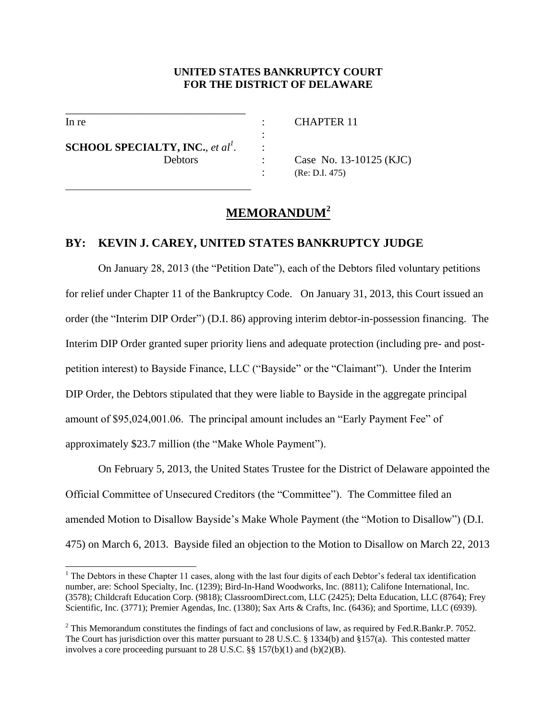# **UNITED STATES BANKRUPTCY COURT FOR THE DISTRICT OF DELAWARE**

l

 $\overline{a}$ 

In re : CHAPTER 11

**SCHOOL SPECIALTY, INC.**, *et al<sup>1</sup> .* :

\_\_\_\_\_\_\_\_\_\_\_\_\_\_\_\_\_\_\_\_\_\_\_\_\_\_\_\_\_\_\_\_\_

the contract of the contract of the contract of the contract of the contract of

Debtors : Case No. 13-10125 (KJC) : (Re: D.I. 475)

# **MEMORANDUM<sup>2</sup>**

# **BY: KEVIN J. CAREY, UNITED STATES BANKRUPTCY JUDGE**

On January 28, 2013 (the "Petition Date"), each of the Debtors filed voluntary petitions for relief under Chapter 11 of the Bankruptcy Code. On January 31, 2013, this Court issued an order (the "Interim DIP Order") (D.I. 86) approving interim debtor-in-possession financing. The Interim DIP Order granted super priority liens and adequate protection (including pre- and postpetition interest) to Bayside Finance, LLC ("Bayside" or the "Claimant"). Under the Interim DIP Order, the Debtors stipulated that they were liable to Bayside in the aggregate principal amount of \$95,024,001.06. The principal amount includes an "Early Payment Fee" of approximately \$23.7 million (the "Make Whole Payment").

On February 5, 2013, the United States Trustee for the District of Delaware appointed the Official Committee of Unsecured Creditors (the "Committee"). The Committee filed an amended Motion to Disallow Bayside's Make Whole Payment (the "Motion to Disallow") (D.I. 475) on March 6, 2013. Bayside filed an objection to the Motion to Disallow on March 22, 2013

<sup>&</sup>lt;sup>1</sup> The Debtors in these Chapter 11 cases, along with the last four digits of each Debtor's federal tax identification number, are: School Specialty, Inc. (1239); Bird-In-Hand Woodworks, Inc. (8811); Califone International, Inc. (3578); Childcraft Education Corp. (9818); ClassroomDirect.com, LLC (2425); Delta Education, LLC (8764); Frey Scientific, Inc. (3771); Premier Agendas, Inc. (1380); Sax Arts & Crafts, Inc. (6436); and Sportime, LLC (6939).

<sup>&</sup>lt;sup>2</sup> This Memorandum constitutes the findings of fact and conclusions of law, as required by Fed.R.Bankr.P. 7052. The Court has jurisdiction over this matter pursuant to 28 U.S.C. § 1334(b) and §157(a). This contested matter involves a core proceeding pursuant to 28 U.S.C. §§ 157(b)(1) and (b)(2)(B).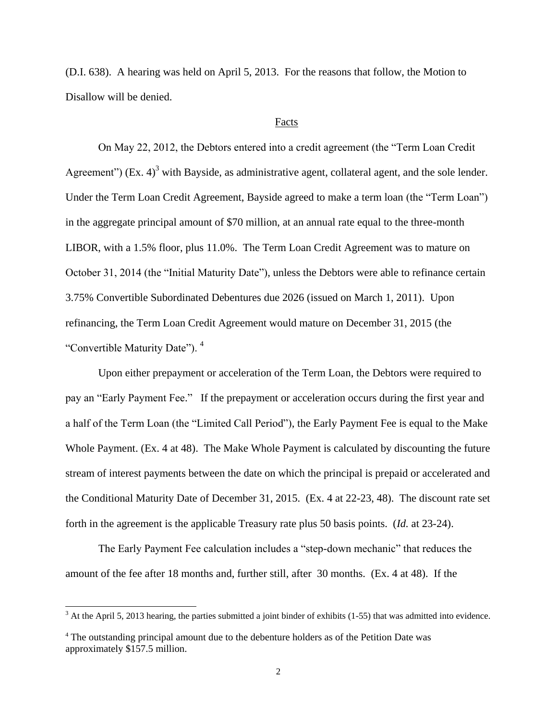(D.I. 638). A hearing was held on April 5, 2013. For the reasons that follow, the Motion to Disallow will be denied.

### Facts

On May 22, 2012, the Debtors entered into a credit agreement (the "Term Loan Credit Agreement") (Ex.  $4$ )<sup>3</sup> with Bayside, as administrative agent, collateral agent, and the sole lender. Under the Term Loan Credit Agreement, Bayside agreed to make a term loan (the "Term Loan") in the aggregate principal amount of \$70 million, at an annual rate equal to the three-month LIBOR, with a 1.5% floor, plus 11.0%. The Term Loan Credit Agreement was to mature on October 31, 2014 (the "Initial Maturity Date"), unless the Debtors were able to refinance certain 3.75% Convertible Subordinated Debentures due 2026 (issued on March 1, 2011). Upon refinancing, the Term Loan Credit Agreement would mature on December 31, 2015 (the "Convertible Maturity Date"). <sup>4</sup>

Upon either prepayment or acceleration of the Term Loan, the Debtors were required to pay an "Early Payment Fee." If the prepayment or acceleration occurs during the first year and a half of the Term Loan (the "Limited Call Period"), the Early Payment Fee is equal to the Make Whole Payment. (Ex. 4 at 48). The Make Whole Payment is calculated by discounting the future stream of interest payments between the date on which the principal is prepaid or accelerated and the Conditional Maturity Date of December 31, 2015. (Ex. 4 at 22-23, 48). The discount rate set forth in the agreement is the applicable Treasury rate plus 50 basis points. (*Id.* at 23-24).

The Early Payment Fee calculation includes a "step-down mechanic" that reduces the amount of the fee after 18 months and, further still, after 30 months. (Ex. 4 at 48). If the

 $3$  At the April 5, 2013 hearing, the parties submitted a joint binder of exhibits (1-55) that was admitted into evidence.

<sup>4</sup> The outstanding principal amount due to the debenture holders as of the Petition Date was approximately \$157.5 million.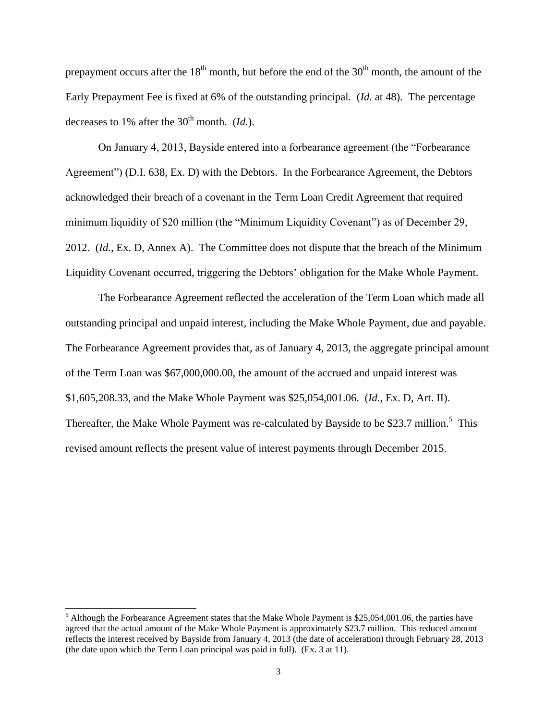prepayment occurs after the  $18<sup>th</sup>$  month, but before the end of the  $30<sup>th</sup>$  month, the amount of the Early Prepayment Fee is fixed at 6% of the outstanding principal. (*Id.* at 48). The percentage decreases to 1% after the  $30<sup>th</sup>$  month. *(Id.)*.

On January 4, 2013, Bayside entered into a forbearance agreement (the "Forbearance Agreement") (D.I. 638, Ex. D) with the Debtors. In the Forbearance Agreement, the Debtors acknowledged their breach of a covenant in the Term Loan Credit Agreement that required minimum liquidity of \$20 million (the "Minimum Liquidity Covenant") as of December 29, 2012. (*Id.*, Ex. D, Annex A). The Committee does not dispute that the breach of the Minimum Liquidity Covenant occurred, triggering the Debtors' obligation for the Make Whole Payment.

The Forbearance Agreement reflected the acceleration of the Term Loan which made all outstanding principal and unpaid interest, including the Make Whole Payment, due and payable. The Forbearance Agreement provides that, as of January 4, 2013, the aggregate principal amount of the Term Loan was \$67,000,000.00, the amount of the accrued and unpaid interest was \$1,605,208.33, and the Make Whole Payment was \$25,054,001.06. (*Id.*, Ex. D, Art. II). Thereafter, the Make Whole Payment was re-calculated by Bayside to be \$23.7 million.<sup>5</sup> This revised amount reflects the present value of interest payments through December 2015.

<sup>&</sup>lt;sup>5</sup> Although the Forbearance Agreement states that the Make Whole Payment is \$25,054,001.06, the parties have agreed that the actual amount of the Make Whole Payment is approximately \$23.7 million. This reduced amount reflects the interest received by Bayside from January 4, 2013 (the date of acceleration) through February 28, 2013 (the date upon which the Term Loan principal was paid in full). (Ex. 3 at 11).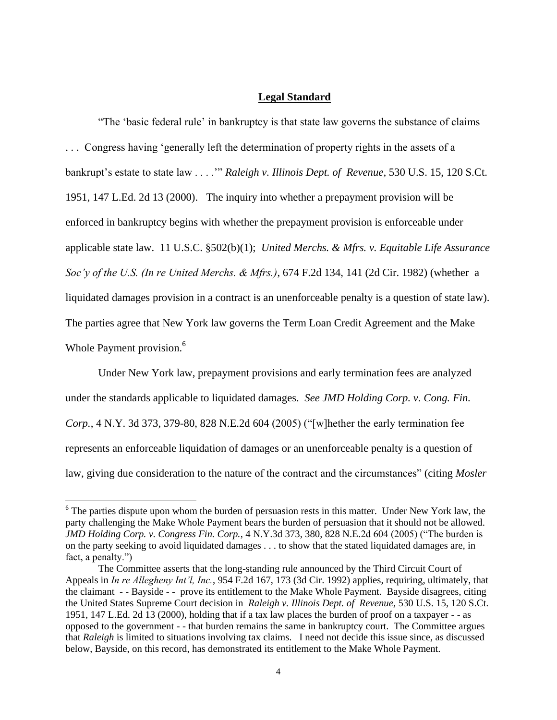### **Legal Standard**

"The 'basic federal rule' in bankruptcy is that state law governs the substance of claims . . . Congress having 'generally left the determination of property rights in the assets of a bankrupt's estate to state law . . . .'" *Raleigh v. Illinois Dept. of Revenue,* 530 U.S. 15, 120 S.Ct. 1951, 147 L.Ed. 2d 13 (2000). The inquiry into whether a prepayment provision will be enforced in bankruptcy begins with whether the prepayment provision is enforceable under applicable state law. 11 U.S.C. §502(b)(1); *United Merchs. & Mfrs. v. Equitable Life Assurance Soc'y of the U.S. (In re United Merchs. & Mfrs.)*, 674 F.2d 134, 141 (2d Cir. 1982) (whether a liquidated damages provision in a contract is an unenforceable penalty is a question of state law). The parties agree that New York law governs the Term Loan Credit Agreement and the Make Whole Payment provision.<sup>6</sup>

Under New York law, prepayment provisions and early termination fees are analyzed under the standards applicable to liquidated damages. *See JMD Holding Corp. v. Cong. Fin. Corp.*, 4 N.Y. 3d 373, 379-80, 828 N.E.2d 604 (2005) ("[w]hether the early termination fee represents an enforceable liquidation of damages or an unenforceable penalty is a question of law, giving due consideration to the nature of the contract and the circumstances" (citing *Mosler* 

 $6$  The parties dispute upon whom the burden of persuasion rests in this matter. Under New York law, the party challenging the Make Whole Payment bears the burden of persuasion that it should not be allowed. *JMD Holding Corp. v. Congress Fin. Corp.*, 4 N.Y.3d 373, 380, 828 N.E.2d 604 (2005) ("The burden is on the party seeking to avoid liquidated damages . . . to show that the stated liquidated damages are, in fact, a penalty.")

The Committee asserts that the long-standing rule announced by the Third Circuit Court of Appeals in *In re Allegheny Int'l, Inc.*, 954 F.2d 167, 173 (3d Cir. 1992) applies, requiring, ultimately, that the claimant - - Bayside - - prove its entitlement to the Make Whole Payment. Bayside disagrees, citing the United States Supreme Court decision in *Raleigh v. Illinois Dept. of Revenue,* 530 U.S. 15, 120 S.Ct. 1951, 147 L.Ed. 2d 13 (2000), holding that if a tax law places the burden of proof on a taxpayer - - as opposed to the government - - that burden remains the same in bankruptcy court. The Committee argues that *Raleigh* is limited to situations involving tax claims. I need not decide this issue since, as discussed below, Bayside, on this record, has demonstrated its entitlement to the Make Whole Payment.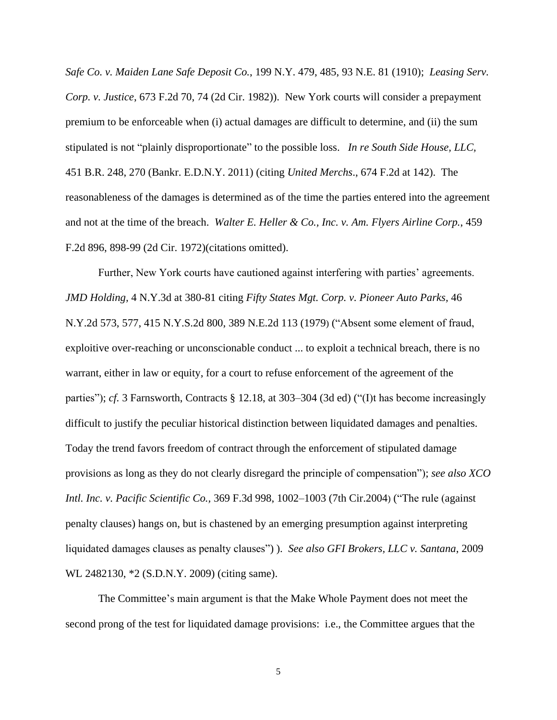*Safe Co. v. Maiden Lane Safe Deposit Co.*, 199 N.Y. 479, 485, 93 N.E. 81 (1910); *Leasing Serv. Corp. v. Justice*, 673 F.2d 70, 74 (2d Cir. 1982)). New York courts will consider a prepayment premium to be enforceable when (i) actual damages are difficult to determine, and (ii) the sum stipulated is not "plainly disproportionate" to the possible loss. *In re South Side House, LLC,*  451 B.R. 248, 270 (Bankr. E.D.N.Y. 2011) (citing *United Merchs*., 674 F.2d at 142). The reasonableness of the damages is determined as of the time the parties entered into the agreement and not at the time of the breach. *Walter E. Heller & Co., Inc. v. Am. Flyers Airline Corp.*, 459 F.2d 896, 898-99 (2d Cir. 1972)(citations omitted).

Further, New York courts have cautioned against interfering with parties' agreements. *JMD Holding,* 4 N.Y.3d at 380-81 citing *[Fifty States Mgt. Corp. v. Pioneer Auto Parks,](https://web2.westlaw.com/find/default.wl?mt=Westlaw&db=578&tc=-1&rp=%2ffind%2fdefault.wl&findtype=Y&ordoc=2006403464&serialnum=1979118097&vr=2.0&fn=_top&sv=Split&tf=-1&pbc=29A1B109&rs=WLW13.04)* 46 [N.Y.2d 573, 577, 415 N.Y.S.2d 800, 389 N.E.2d 113 \(1979](https://web2.westlaw.com/find/default.wl?mt=Westlaw&db=578&tc=-1&rp=%2ffind%2fdefault.wl&findtype=Y&ordoc=2006403464&serialnum=1979118097&vr=2.0&fn=_top&sv=Split&tf=-1&pbc=29A1B109&rs=WLW13.04)) ("Absent some element of fraud, exploitive over-reaching or unconscionable conduct ... to exploit a technical breach, there is no warrant, either in law or equity, for a court to refuse enforcement of the agreement of the parties"); *cf.* 3 Farnsworth, Contracts § 12.18, at 303–304 (3d ed) ("(I)t has become increasingly difficult to justify the peculiar historical distinction between liquidated damages and penalties. Today the trend favors freedom of contract through the enforcement of stipulated damage provisions as long as they do not clearly disregard the principle of compensation"); *see also [XCO](https://web2.westlaw.com/find/default.wl?mt=Westlaw&db=506&tc=-1&rp=%2ffind%2fdefault.wl&findtype=Y&ordoc=2006403464&serialnum=2004504620&vr=2.0&fn=_top&sv=Split&tf=-1&referencepositiontype=S&pbc=29A1B109&referenceposition=1002&rs=WLW13.04)  Intl. Inc. v. Pacific Scientific Co.,* [369 F.3d 998, 1002–1003 \(7th Cir.2004](https://web2.westlaw.com/find/default.wl?mt=Westlaw&db=506&tc=-1&rp=%2ffind%2fdefault.wl&findtype=Y&ordoc=2006403464&serialnum=2004504620&vr=2.0&fn=_top&sv=Split&tf=-1&referencepositiontype=S&pbc=29A1B109&referenceposition=1002&rs=WLW13.04)) ("The rule (against penalty clauses) hangs on, but is chastened by an emerging presumption against interpreting liquidated damages clauses as penalty clauses") ). *See also GFI Brokers, LLC v. Santana*, 2009 WL 2482130, \*2 (S.D.N.Y. 2009) (citing same).

The Committee's main argument is that the Make Whole Payment does not meet the second prong of the test for liquidated damage provisions: i.e., the Committee argues that the

5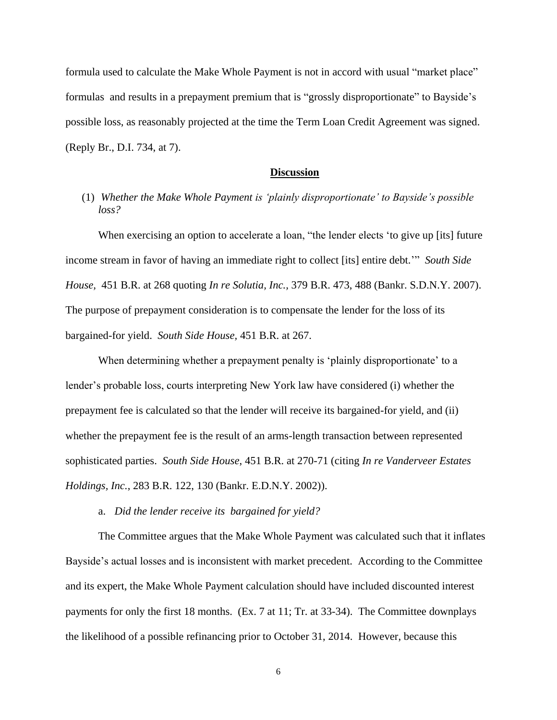formula used to calculate the Make Whole Payment is not in accord with usual "market place" formulas and results in a prepayment premium that is "grossly disproportionate" to Bayside's possible loss, as reasonably projected at the time the Term Loan Credit Agreement was signed. (Reply Br., D.I. 734, at 7).

#### **Discussion**

# (1) *Whether the Make Whole Payment is 'plainly disproportionate' to Bayside's possible loss?*

When exercising an option to accelerate a loan, "the lender elects 'to give up [its] future income stream in favor of having an immediate right to collect [its] entire debt.'" *South Side House,* 451 B.R. at 268 quoting *In re Solutia, Inc.,* 379 B.R. 473, 488 (Bankr. S.D.N.Y. 2007). The purpose of prepayment consideration is to compensate the lender for the loss of its bargained-for yield. *South Side House,* 451 B.R. at 267.

When determining whether a prepayment penalty is 'plainly disproportionate' to a lender's probable loss, courts interpreting New York law have considered (i) whether the prepayment fee is calculated so that the lender will receive its bargained-for yield, and (ii) whether the prepayment fee is the result of an arms-length transaction between represented sophisticated parties. *South Side House*, 451 B.R. at 270-71 (citing *In re Vanderveer Estates Holdings, Inc.*, 283 B.R. 122, 130 (Bankr. E.D.N.Y. 2002)).

a. *Did the lender receive its bargained for yield?*

The Committee argues that the Make Whole Payment was calculated such that it inflates Bayside's actual losses and is inconsistent with market precedent. According to the Committee and its expert, the Make Whole Payment calculation should have included discounted interest payments for only the first 18 months. (Ex. 7 at 11; Tr. at 33-34). The Committee downplays the likelihood of a possible refinancing prior to October 31, 2014. However, because this

6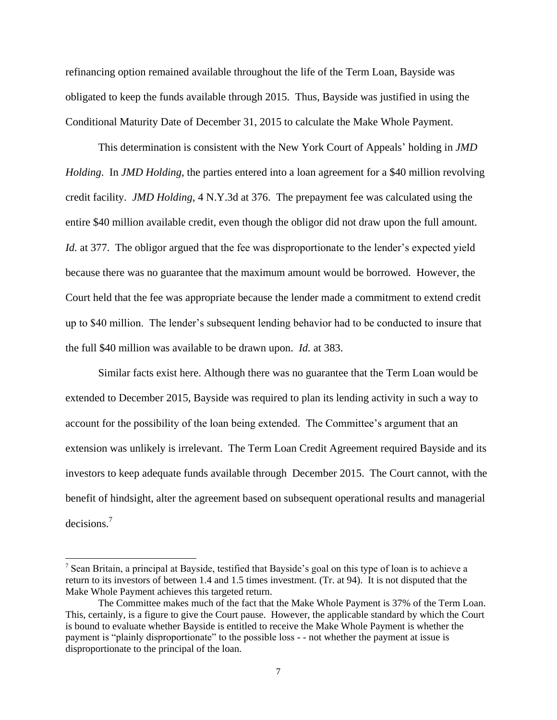refinancing option remained available throughout the life of the Term Loan, Bayside was obligated to keep the funds available through 2015. Thus, Bayside was justified in using the Conditional Maturity Date of December 31, 2015 to calculate the Make Whole Payment.

This determination is consistent with the New York Court of Appeals' holding in *JMD Holding*. In *JMD Holding*, the parties entered into a loan agreement for a \$40 million revolving credit facility. *JMD Holding*, 4 N.Y.3d at 376. The prepayment fee was calculated using the entire \$40 million available credit, even though the obligor did not draw upon the full amount. *Id.* at 377. The obligor argued that the fee was disproportionate to the lender's expected yield because there was no guarantee that the maximum amount would be borrowed. However, the Court held that the fee was appropriate because the lender made a commitment to extend credit up to \$40 million. The lender's subsequent lending behavior had to be conducted to insure that the full \$40 million was available to be drawn upon. *Id.* at 383.

Similar facts exist here. Although there was no guarantee that the Term Loan would be extended to December 2015, Bayside was required to plan its lending activity in such a way to account for the possibility of the loan being extended. The Committee's argument that an extension was unlikely is irrelevant. The Term Loan Credit Agreement required Bayside and its investors to keep adequate funds available through December 2015. The Court cannot, with the benefit of hindsight, alter the agreement based on subsequent operational results and managerial decisions.<sup>7</sup>

<sup>7</sup> Sean Britain, a principal at Bayside, testified that Bayside's goal on this type of loan is to achieve a return to its investors of between 1.4 and 1.5 times investment. (Tr. at 94). It is not disputed that the Make Whole Payment achieves this targeted return.

The Committee makes much of the fact that the Make Whole Payment is 37% of the Term Loan. This, certainly, is a figure to give the Court pause. However, the applicable standard by which the Court is bound to evaluate whether Bayside is entitled to receive the Make Whole Payment is whether the payment is "plainly disproportionate" to the possible loss - - not whether the payment at issue is disproportionate to the principal of the loan.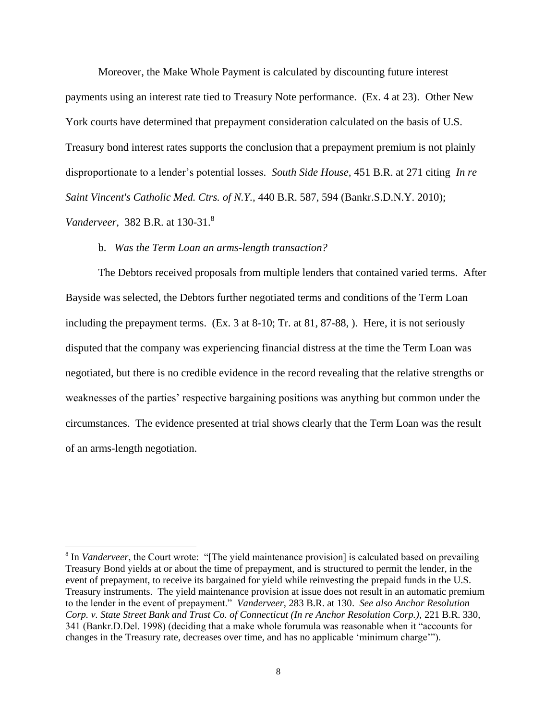Moreover, the Make Whole Payment is calculated by discounting future interest payments using an interest rate tied to Treasury Note performance. (Ex. 4 at 23). Other New York courts have determined that prepayment consideration calculated on the basis of U.S. Treasury bond interest rates supports the conclusion that a prepayment premium is not plainly disproportionate to a lender's potential losses. *South Side House,* 451 B.R. at 271 citing *In re [Saint Vincent's Catholic Med. Ctrs. of N.Y.,](https://web2.westlaw.com/find/default.wl?mt=ThirdCircuit&db=164&rs=WLW13.04&tc=-1&rp=%2ffind%2fdefault.wl&findtype=Y&ordoc=2025573789&serialnum=2023730980&vr=2.0&fn=_top&sv=Split&tf=-1&referencepositiontype=S&pbc=EBD7DFB3&referenceposition=594&utid=2)* 440 B.R. 587, 594 (Bankr.S.D.N.Y. 2010); *Vanderveer,* 382 B.R. at 130-31.<sup>8</sup>

### b. *Was the Term Loan an arms-length transaction?*

 $\overline{\phantom{a}}$ 

The Debtors received proposals from multiple lenders that contained varied terms. After Bayside was selected, the Debtors further negotiated terms and conditions of the Term Loan including the prepayment terms. (Ex. 3 at 8-10; Tr. at 81, 87-88, ). Here, it is not seriously disputed that the company was experiencing financial distress at the time the Term Loan was negotiated, but there is no credible evidence in the record revealing that the relative strengths or weaknesses of the parties' respective bargaining positions was anything but common under the circumstances. The evidence presented at trial shows clearly that the Term Loan was the result of an arms-length negotiation.

<sup>&</sup>lt;sup>8</sup> In *Vanderveer*, the Court wrote: "[The yield maintenance provision] is calculated based on prevailing Treasury Bond yields at or about the time of prepayment, and is structured to permit the lender, in the event of prepayment, to receive its bargained for yield while reinvesting the prepaid funds in the U.S. Treasury instruments. The yield maintenance provision at issue does not result in an automatic premium to the lender in the event of prepayment." *Vanderveer,* 283 B.R. at 130. *See also Anchor Resolution Corp. v. State Street Bank and Trust Co. of Connecticut (In re Anchor Resolution Corp.),* 221 B.R. 330, 341 (Bankr.D.Del. 1998) (deciding that a make whole forumula was reasonable when it "accounts for changes in the Treasury rate, decreases over time, and has no applicable 'minimum charge'").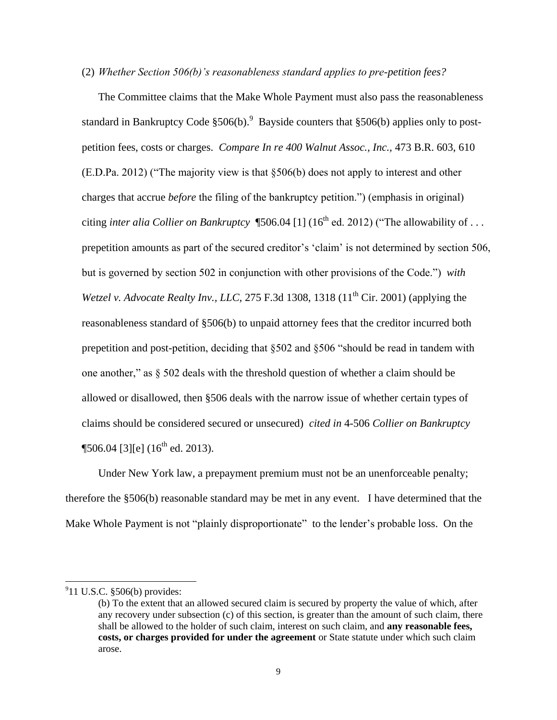### (2) *Whether Section 506(b)'s reasonableness standard applies to pre-petition fees?*

The Committee claims that the Make Whole Payment must also pass the reasonableness standard in Bankruptcy Code  $$506(b).$ <sup>9</sup> Bayside counters that  $$506(b)$  applies only to postpetition fees, costs or charges. *Compare In re 400 Walnut Assoc., Inc.,* 473 B.R. 603, 610 (E.D.Pa. 2012) ("The majority view is that §506(b) does not apply to interest and other charges that accrue *before* the filing of the bankruptcy petition.") (emphasis in original) citing *inter alia Collier on Bankruptcy*  $$506.04$  [1] (16<sup>th</sup> ed. 2012) ("The allowability of ... prepetition amounts as part of the secured creditor's 'claim' is not determined by section 506, but is governed by section 502 in conjunction with other provisions of the Code.") *with Wetzel v. Advocate Realty Inv., LLC, 275 F.3d 1308, 1318 (11<sup>th</sup> Cir. 2001) (applying the* reasonableness standard of §506(b) to unpaid attorney fees that the creditor incurred both prepetition and post-petition, deciding that §502 and §506 "should be read in tandem with one another," as § 502 deals with the threshold question of whether a claim should be allowed or disallowed, then §506 deals with the narrow issue of whether certain types of claims should be considered secured or unsecured) *cited in* 4-506 *Collier on Bankruptcy*   $\P$ 506.04 [3][e] (16<sup>th</sup> ed. 2013).

Under New York law, a prepayment premium must not be an unenforceable penalty; therefore the §506(b) reasonable standard may be met in any event. I have determined that the Make Whole Payment is not "plainly disproportionate" to the lender's probable loss. On the

 $911$  U.S.C.  $$506(b)$  provides:

<sup>(</sup>b) To the extent that an allowed secured claim is secured by property the value of which, after any recovery under subsection (c) of this section, is greater than the amount of such claim, there shall be allowed to the holder of such claim, interest on such claim, and **any reasonable fees, costs, or charges provided for under the agreement** or State statute under which such claim arose.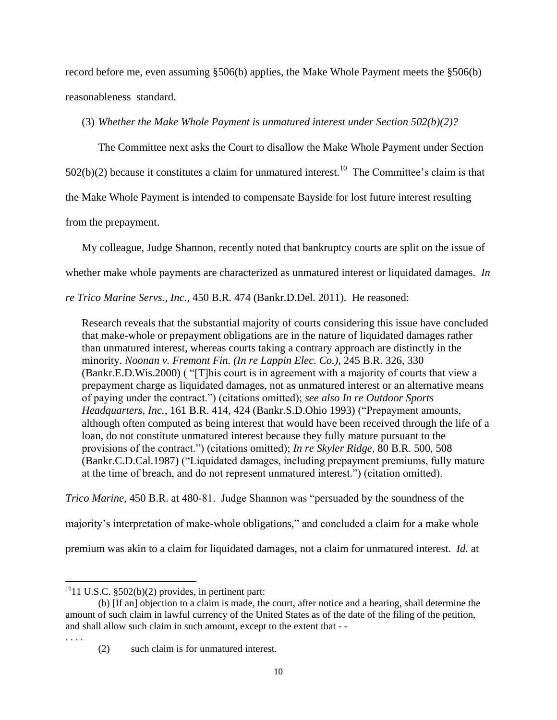record before me, even assuming §506(b) applies, the Make Whole Payment meets the §506(b) reasonableness standard.

(3) *Whether the Make Whole Payment is unmatured interest under Section 502(b)(2)?*

The Committee next asks the Court to disallow the Make Whole Payment under Section

 $502(b)(2)$  because it constitutes a claim for unmatured interest.<sup>10</sup> The Committee's claim is that

the Make Whole Payment is intended to compensate Bayside for lost future interest resulting

from the prepayment.

My colleague, Judge Shannon, recently noted that bankruptcy courts are split on the issue of

whether make whole payments are characterized as unmatured interest or liquidated damages. *In* 

*re Trico Marine Servs., Inc.,* 450 B.R. 474 (Bankr.D.Del. 2011). He reasoned:

Research reveals that the substantial majority of courts considering this issue have concluded that make-whole or prepayment obligations are in the nature of liquidated damages rather than unmatured interest, whereas courts taking a contrary approach are distinctly in the minority. *[Noonan v. Fremont Fin. \(In re Lappin Elec. Co.\),](https://web2.westlaw.com/find/default.wl?mt=ThirdCircuit&db=164&rs=WLW13.04&tc=-1&rp=%2ffind%2fdefault.wl&findtype=Y&ordoc=2025088690&serialnum=2000066524&vr=2.0&fn=_top&sv=Split&tf=-1&referencepositiontype=S&pbc=84132B1B&referenceposition=330&utid=2)* 245 B.R. 326, 330 [\(Bankr.E.D.Wis.2000\)](https://web2.westlaw.com/find/default.wl?mt=ThirdCircuit&db=164&rs=WLW13.04&tc=-1&rp=%2ffind%2fdefault.wl&findtype=Y&ordoc=2025088690&serialnum=2000066524&vr=2.0&fn=_top&sv=Split&tf=-1&referencepositiontype=S&pbc=84132B1B&referenceposition=330&utid=2) ( "[T]his court is in agreement with a majority of courts that view a prepayment charge as liquidated damages, not as unmatured interest or an alternative means of paying under the contract.") (citations omitted); *see also [In re Outdoor Sports](https://web2.westlaw.com/find/default.wl?mt=ThirdCircuit&db=164&rs=WLW13.04&tc=-1&rp=%2ffind%2fdefault.wl&findtype=Y&ordoc=2025088690&serialnum=1993236397&vr=2.0&fn=_top&sv=Split&tf=-1&referencepositiontype=S&pbc=84132B1B&referenceposition=424&utid=2)  Headquarters, Inc.,* [161 B.R. 414, 424 \(Bankr.S.D.Ohio 1993\)](https://web2.westlaw.com/find/default.wl?mt=ThirdCircuit&db=164&rs=WLW13.04&tc=-1&rp=%2ffind%2fdefault.wl&findtype=Y&ordoc=2025088690&serialnum=1993236397&vr=2.0&fn=_top&sv=Split&tf=-1&referencepositiontype=S&pbc=84132B1B&referenceposition=424&utid=2) ("Prepayment amounts, although often computed as being interest that would have been received through the life of a loan, do not constitute unmatured interest because they fully mature pursuant to the provisions of the contract.") (citations omitted); *[In re Skyler Ridge,](https://web2.westlaw.com/find/default.wl?mt=ThirdCircuit&db=164&rs=WLW13.04&tc=-1&rp=%2ffind%2fdefault.wl&findtype=Y&ordoc=2025088690&serialnum=1987156892&vr=2.0&fn=_top&sv=Split&tf=-1&referencepositiontype=S&pbc=84132B1B&referenceposition=508&utid=2)* 80 B.R. 500, 508 [\(Bankr.C.D.Cal.1987\)](https://web2.westlaw.com/find/default.wl?mt=ThirdCircuit&db=164&rs=WLW13.04&tc=-1&rp=%2ffind%2fdefault.wl&findtype=Y&ordoc=2025088690&serialnum=1987156892&vr=2.0&fn=_top&sv=Split&tf=-1&referencepositiontype=S&pbc=84132B1B&referenceposition=508&utid=2) ("Liquidated damages, including prepayment premiums, fully mature at the time of breach, and do not represent unmatured interest.") (citation omitted).

*Trico Marine,* 450 B.R. at 480-81. Judge Shannon was "persuaded by the soundness of the

majority's interpretation of make-whole obligations," and concluded a claim for a make whole

premium was akin to a claim for liquidated damages, not a claim for unmatured interest. *Id.* at

. . . .

 $^{10}$ 11 U.S.C. §502(b)(2) provides, in pertinent part:

<sup>(</sup>b) [If an] objection to a claim is made, the court, after notice and a hearing, shall determine the amount of such claim in lawful currency of the United States as of the date of the filing of the petition, and shall allow such claim in such amount, except to the extent that - -

<sup>(2)</sup> such claim is for unmatured interest.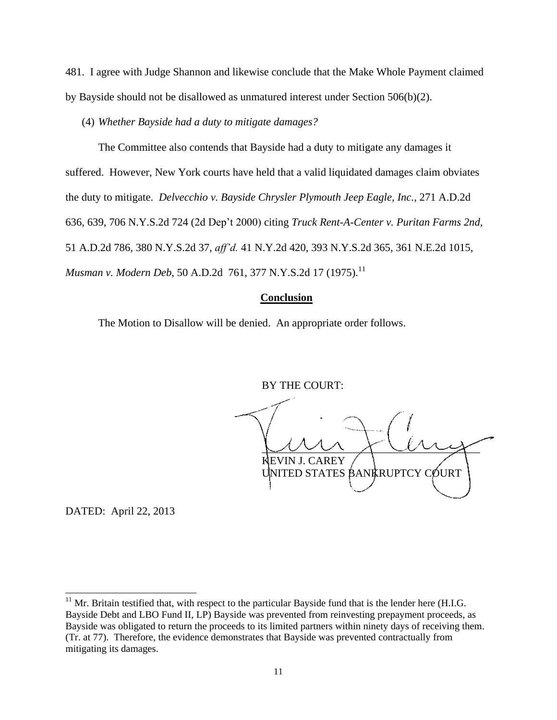481. I agree with Judge Shannon and likewise conclude that the Make Whole Payment claimed by Bayside should not be disallowed as unmatured interest under Section 506(b)(2).

(4) *Whether Bayside had a duty to mitigate damages?*

The Committee also contends that Bayside had a duty to mitigate any damages it suffered. However, New York courts have held that a valid liquidated damages claim obviates the duty to mitigate. *Delvecchio v. Bayside Chrysler Plymouth Jeep Eagle, Inc.*, 271 A.D.2d 636, 639, 706 N.Y.S.2d 724 (2d Dep't 2000) citing *Truck Rent-A-Center v. Puritan Farms 2nd*, 51 A.D.2d 786, 380 N.Y.S.2d 37, *aff'd.* 41 N.Y.2d 420, 393 N.Y.S.2d 365, 361 N.E.2d 1015, *Musman v. Modern Deb, 50 A.D.2d 761, 377 N.Y.S.2d 17 (1975).*<sup>11</sup>

### **Conclusion**

The Motion to Disallow will be denied. An appropriate order follows.

BY THE COURT:

 $\cup$   $\cup$   $\cup$   $\cup$   $\cup$   $\cup$   $\cup$   $\vee$   $\vee$ EVIN J. CAREY UNITED STATES BANKRUPTCY COURT

DATED: April 22, 2013

 $11$  Mr. Britain testified that, with respect to the particular Bayside fund that is the lender here (H.I.G. Bayside Debt and LBO Fund II, LP) Bayside was prevented from reinvesting prepayment proceeds, as Bayside was obligated to return the proceeds to its limited partners within ninety days of receiving them. (Tr. at 77). Therefore, the evidence demonstrates that Bayside was prevented contractually from mitigating its damages.